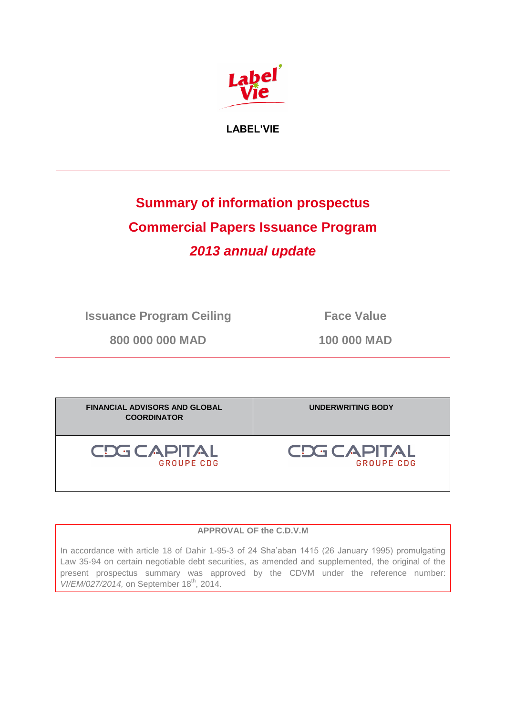

**LABEL'VIE**

# **Summary of information prospectus Commercial Papers Issuance Program** *2013 annual update*

**Issuance Program Ceiling Face Value** 

**800 000 000 MAD 100 000 MAD**

| <b>FINANCIAL ADVISORS AND GLOBAL</b><br><b>COORDINATOR</b> | <b>UNDERWRITING BODY</b> |
|------------------------------------------------------------|--------------------------|
| <b>CDG CAPITAL</b>                                         | CDG CAPITAL              |
| <b>GROUPE CDG</b>                                          | <b>GROUPE CDG</b>        |

## **APPROVAL OF the C.D.V.M**

In accordance with article 18 of Dahir 1-95-3 of 24 Sha'aban 1415 (26 January 1995) promulgating Law 35-94 on certain negotiable debt securities, as amended and supplemented, the original of the present prospectus summary was approved by the CDVM under the reference number: *VI/EM/027/2014*, on September 18<sup>th</sup>, 2014.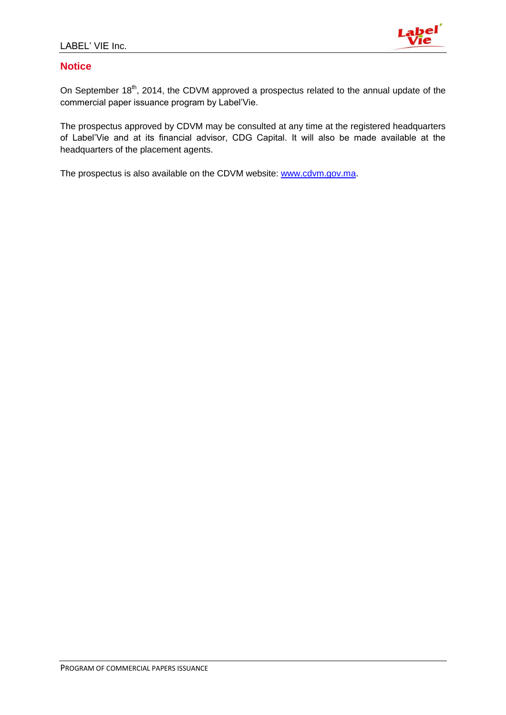

# **Notice**

On September 18<sup>th</sup>, 2014, the CDVM approved a prospectus related to the annual update of the commercial paper issuance program by Label'Vie.

The prospectus approved by CDVM may be consulted at any time at the registered headquarters of Label'Vie and at its financial advisor, CDG Capital. It will also be made available at the headquarters of the placement agents.

The prospectus is also available on the CDVM website: [www.cdvm.gov.ma.](http://www.cdvm.gov.ma/)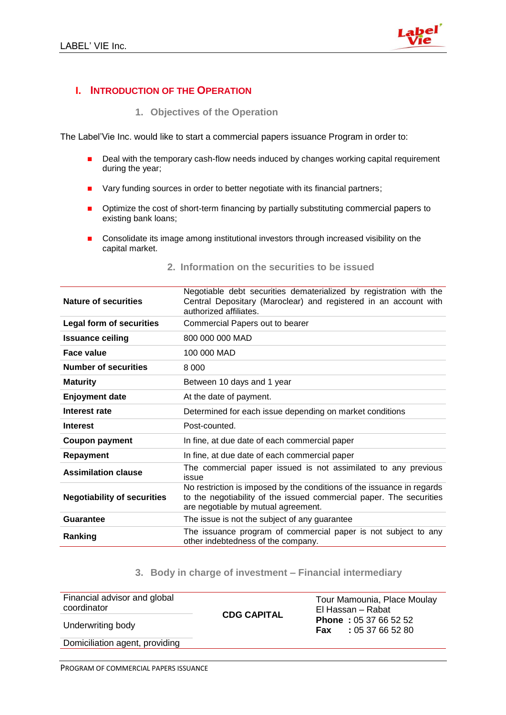

# **I. INTRODUCTION OF THE OPERATION**

**1. Objectives of the Operation** 

The Label'Vie Inc. would like to start a commercial papers issuance Program in order to:

- Deal with the temporary cash-flow needs induced by changes working capital requirement during the year;
- **Nary funding sources in order to better negotiate with its financial partners;**
- **P** Optimize the cost of short-term financing by partially substituting commercial papers to existing bank loans;
- Consolidate its image among institutional investors through increased visibility on the capital market.

| <b>Nature of securities</b>        | Negotiable debt securities dematerialized by registration with the<br>Central Depositary (Maroclear) and registered in an account with<br>authorized affiliates.                     |
|------------------------------------|--------------------------------------------------------------------------------------------------------------------------------------------------------------------------------------|
| <b>Legal form of securities</b>    | Commercial Papers out to bearer                                                                                                                                                      |
| <b>Issuance ceiling</b>            | 800 000 000 MAD                                                                                                                                                                      |
| <b>Face value</b>                  | 100 000 MAD                                                                                                                                                                          |
| <b>Number of securities</b>        | 8 0 0 0                                                                                                                                                                              |
| <b>Maturity</b>                    | Between 10 days and 1 year                                                                                                                                                           |
| <b>Enjoyment date</b>              | At the date of payment.                                                                                                                                                              |
| Interest rate                      | Determined for each issue depending on market conditions                                                                                                                             |
| <b>Interest</b>                    | Post-counted.                                                                                                                                                                        |
| <b>Coupon payment</b>              | In fine, at due date of each commercial paper                                                                                                                                        |
| Repayment                          | In fine, at due date of each commercial paper                                                                                                                                        |
| <b>Assimilation clause</b>         | The commercial paper issued is not assimilated to any previous<br>issue                                                                                                              |
| <b>Negotiability of securities</b> | No restriction is imposed by the conditions of the issuance in regards<br>to the negotiability of the issued commercial paper. The securities<br>are negotiable by mutual agreement. |
| Guarantee                          | The issue is not the subject of any guarantee                                                                                                                                        |
| Ranking                            | The issuance program of commercial paper is not subject to any<br>other indebtedness of the company.                                                                                 |

# **2. Information on the securities to be issued**

#### **3. Body in charge of investment – Financial intermediary**

| Financial advisor and global<br>coordinator | <b>CDG CAPITAL</b> | Tour Mamounia, Place Moulay<br>El Hassan - Rabat                  |
|---------------------------------------------|--------------------|-------------------------------------------------------------------|
| Underwriting body                           |                    | <b>Phone</b> : $05\,37\,66\,52\,52$<br>: 0537665280<br><b>Fax</b> |
| Domiciliation agent, providing              |                    |                                                                   |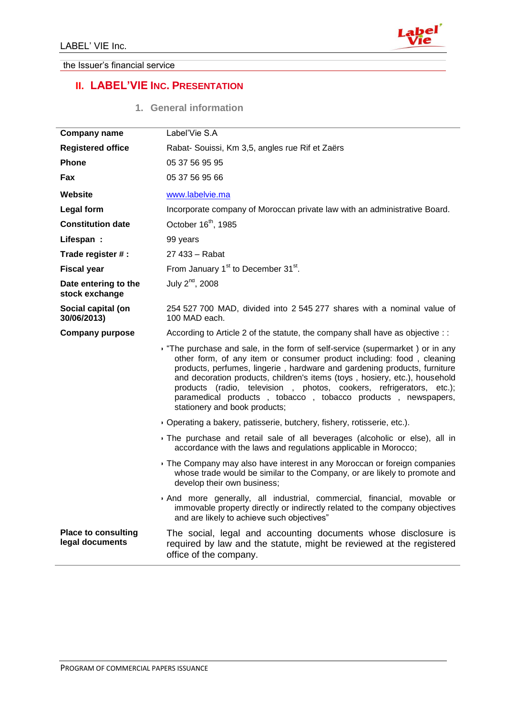

#### the Issuer's financial service

# **II. LABEL'VIE INC. PRESENTATION**

|  | 1. |  | <b>General information</b> |
|--|----|--|----------------------------|
|--|----|--|----------------------------|

| <b>Company name</b>                           | Label'Vie S.A                                                                                                                                                                                                                                                                                                                                                                                                                                                                         |
|-----------------------------------------------|---------------------------------------------------------------------------------------------------------------------------------------------------------------------------------------------------------------------------------------------------------------------------------------------------------------------------------------------------------------------------------------------------------------------------------------------------------------------------------------|
| <b>Registered office</b>                      | Rabat- Souissi, Km 3,5, angles rue Rif et Zaërs                                                                                                                                                                                                                                                                                                                                                                                                                                       |
| <b>Phone</b>                                  | 05 37 56 95 95                                                                                                                                                                                                                                                                                                                                                                                                                                                                        |
| Fax                                           | 05 37 56 95 66                                                                                                                                                                                                                                                                                                                                                                                                                                                                        |
| Website                                       | www.labelvie.ma                                                                                                                                                                                                                                                                                                                                                                                                                                                                       |
| <b>Legal form</b>                             | Incorporate company of Moroccan private law with an administrative Board.                                                                                                                                                                                                                                                                                                                                                                                                             |
| <b>Constitution date</b>                      | October 16 <sup>th</sup> , 1985                                                                                                                                                                                                                                                                                                                                                                                                                                                       |
| Lifespan:                                     | 99 years                                                                                                                                                                                                                                                                                                                                                                                                                                                                              |
| Trade register # :                            | 27 433 - Rabat                                                                                                                                                                                                                                                                                                                                                                                                                                                                        |
| <b>Fiscal year</b>                            | From January 1 <sup>st</sup> to December 31 <sup>st</sup> .                                                                                                                                                                                                                                                                                                                                                                                                                           |
| Date entering to the<br>stock exchange        | July 2 <sup>nd</sup> , 2008                                                                                                                                                                                                                                                                                                                                                                                                                                                           |
| Social capital (on<br>30/06/2013)             | 254 527 700 MAD, divided into 2 545 277 shares with a nominal value of<br>100 MAD each.                                                                                                                                                                                                                                                                                                                                                                                               |
| <b>Company purpose</b>                        | According to Article 2 of the statute, the company shall have as objective : :                                                                                                                                                                                                                                                                                                                                                                                                        |
|                                               | The purchase and sale, in the form of self-service (supermarket) or in any<br>other form, of any item or consumer product including: food, cleaning<br>products, perfumes, lingerie, hardware and gardening products, furniture<br>and decoration products, children's items (toys, hosiery, etc.), household<br>products (radio, television, photos, cookers, refrigerators, etc.);<br>paramedical products, tobacco, tobacco products, newspapers,<br>stationery and book products; |
|                                               | Operating a bakery, patisserie, butchery, fishery, rotisserie, etc.).                                                                                                                                                                                                                                                                                                                                                                                                                 |
|                                               | The purchase and retail sale of all beverages (alcoholic or else), all in<br>accordance with the laws and regulations applicable in Morocco;                                                                                                                                                                                                                                                                                                                                          |
|                                               | The Company may also have interest in any Moroccan or foreign companies<br>whose trade would be similar to the Company, or are likely to promote and<br>develop their own business;                                                                                                                                                                                                                                                                                                   |
|                                               | And more generally, all industrial, commercial, financial, movable or<br>immovable property directly or indirectly related to the company objectives<br>and are likely to achieve such objectives"                                                                                                                                                                                                                                                                                    |
| <b>Place to consulting</b><br>legal documents | The social, legal and accounting documents whose disclosure is<br>required by law and the statute, might be reviewed at the registered<br>office of the company.                                                                                                                                                                                                                                                                                                                      |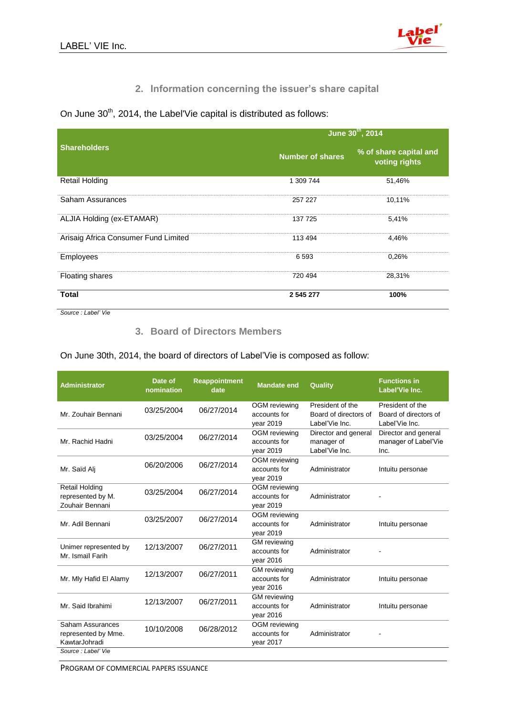

# **2. Information concerning the issuer's share capital**

On June  $30<sup>th</sup>$ , 2014, the Label'Vie capital is distributed as follows:

|                                      |                         | June 30th, 2014                         |  |  |  |
|--------------------------------------|-------------------------|-----------------------------------------|--|--|--|
| <b>Shareholders</b>                  | <b>Number of shares</b> | % of share capital and<br>voting rights |  |  |  |
| <b>Retail Holding</b>                | 1 309 744               | 51,46%                                  |  |  |  |
| Saham Assurances                     | 257 227                 | 10,11%                                  |  |  |  |
| ALJIA Holding (ex-ETAMAR)            | 137 725                 | 5,41%                                   |  |  |  |
| Arisaig Africa Consumer Fund Limited | 113 494                 | 4,46%                                   |  |  |  |
| <b>Employees</b>                     | 6593                    | 0,26%                                   |  |  |  |
| Floating shares                      | 720 494                 | 28,31%                                  |  |  |  |
| <b>Total</b>                         | 2 545 277               | 100%                                    |  |  |  |

*Source : Label' Vie*

# **3. Board of Directors Members**

On June 30th, 2014, the board of directors of Label'Vie is composed as follow:

| <b>Administrator</b>                                          | Date of<br>nomination | <b>Reappointment</b><br>date | <b>Mandate end</b>                                | Quality                                                     | <b>Functions in</b><br>Label'Vie Inc.                       |
|---------------------------------------------------------------|-----------------------|------------------------------|---------------------------------------------------|-------------------------------------------------------------|-------------------------------------------------------------|
| Mr. Zouhair Bennani                                           | 03/25/2004            | 06/27/2014                   | OGM reviewing<br>accounts for<br>vear 2019        | President of the<br>Board of directors of<br>Label'Vie Inc. | President of the<br>Board of directors of<br>Label'Vie Inc. |
| Mr. Rachid Hadni                                              | 03/25/2004            | 06/27/2014                   | OGM reviewing<br>accounts for<br>year 2019        | Director and general<br>manager of<br>Label'Vie Inc.        | Director and general<br>manager of Label'Vie<br>Inc.        |
| Mr. Saïd Alj                                                  | 06/20/2006            | 06/27/2014                   | <b>OGM</b> reviewing<br>accounts for<br>year 2019 | Administrator                                               | Intuitu personae                                            |
| <b>Retail Holding</b><br>represented by M.<br>Zouhair Bennani | 03/25/2004            | 06/27/2014                   | <b>OGM</b> reviewing<br>accounts for<br>vear 2019 | Administrator                                               |                                                             |
| Mr. Adil Bennani                                              | 03/25/2007            | 06/27/2014                   | <b>OGM</b> reviewing<br>accounts for<br>vear 2019 | Administrator                                               | Intuitu personae                                            |
| Unimer represented by<br>Mr. Ismaïl Farih                     | 12/13/2007            | 06/27/2011                   | <b>GM</b> reviewing<br>accounts for<br>year 2016  | Administrator                                               |                                                             |
| Mr. Mly Hafid El Alamy                                        | 12/13/2007            | 06/27/2011                   | <b>GM</b> reviewing<br>accounts for<br>vear 2016  | Administrator                                               | Intuitu personae                                            |
| Mr. Said Ibrahimi                                             | 12/13/2007            | 06/27/2011                   | <b>GM</b> reviewing<br>accounts for<br>year 2016  | Administrator                                               | Intuitu personae                                            |
| Saham Assurances<br>represented by Mme.<br>KawtarJohradi      | 10/10/2008            | 06/28/2012                   | <b>OGM</b> reviewing<br>accounts for<br>vear 2017 | Administrator                                               |                                                             |
| Source: Label' Vie                                            |                       |                              |                                                   |                                                             |                                                             |

PROGRAM OF COMMERCIAL PAPERS ISSUANCE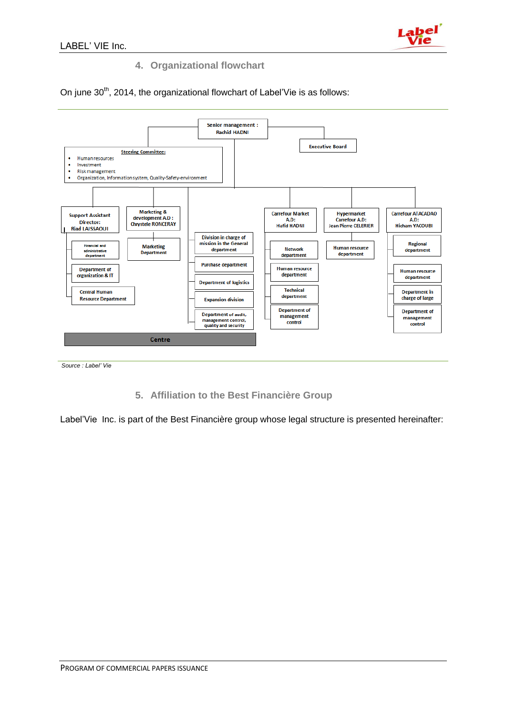

# **4. Organizational flowchart**

On june 30<sup>th</sup>, 2014, the organizational flowchart of Label'Vie is as follows:



*Source : Label' Vie*

**5. Affiliation to the Best Financière Group**

Label'Vie Inc. is part of the Best Financière group whose legal structure is presented hereinafter: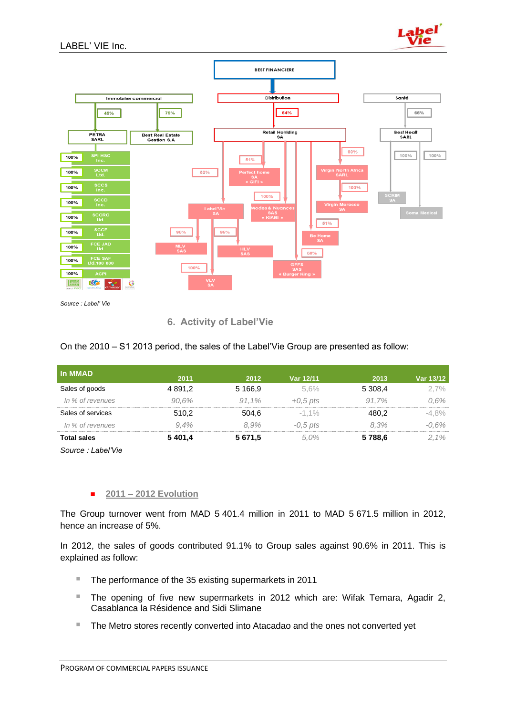![](_page_6_Picture_1.jpeg)

![](_page_6_Figure_2.jpeg)

**6. Activity of Label'Vie**

On the 2010 – S1 2013 period, the sales of the Label'Vie Group are presented as follow:

| In MMAD            | 2011       | 2012      | Var 12/11  | 2013    | Var 13/12 |
|--------------------|------------|-----------|------------|---------|-----------|
| Sales of goods     | 4 8 9 1 .2 | 5 1 6 6 9 | 5.6%       | 5 308.4 | $2.7\%$   |
| In % of revenues   | 90.6%      | 91.1%     | $+0.5$ pts | 91.7%   | $0.6\%$   |
| Sales of services  | 510,2      | 504.6     | $-1.1\%$   | 480.2   | -4.8%     |
| In % of revenues   | 9.4%       | 8.9%      | $-0.5$ pts | 8.3%    | $-0.6\%$  |
| <b>Total sales</b> | 5401,4     | 5 671,5   | 5.0%       | 5788,6  | 2.1%      |

*Source : Label'Vie*

#### **2011 – 2012 Evolution**

The Group turnover went from MAD 5 401.4 million in 2011 to MAD 5 671.5 million in 2012, hence an increase of 5%.

In 2012, the sales of goods contributed 91.1% to Group sales against 90.6% in 2011. This is explained as follow:

- The performance of the 35 existing supermarkets in 2011
- The opening of five new supermarkets in 2012 which are: Wifak Temara, Agadir 2, Casablanca la Résidence and Sidi Slimane
- **The Metro stores recently converted into Atacadao and the ones not converted yet**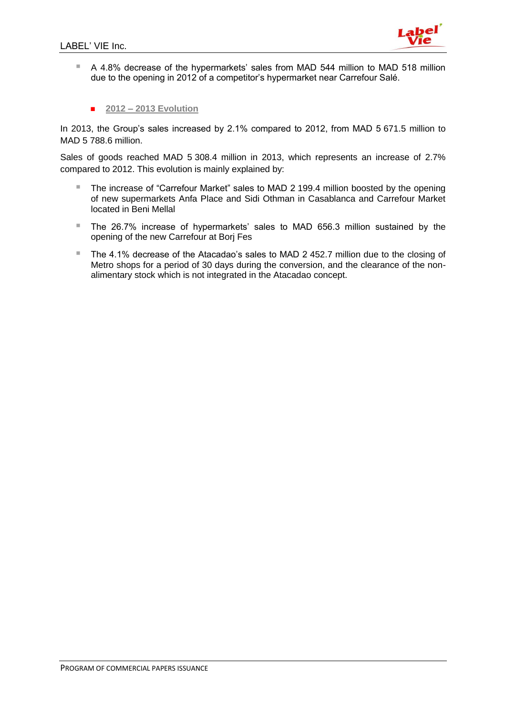![](_page_7_Picture_1.jpeg)

- A 4.8% decrease of the hypermarkets' sales from MAD 544 million to MAD 518 million due to the opening in 2012 of a competitor's hypermarket near Carrefour Salé.
	- **2012 – 2013 Evolution**

In 2013, the Group's sales increased by 2.1% compared to 2012, from MAD 5 671.5 million to MAD 5 788.6 million.

Sales of goods reached MAD 5 308.4 million in 2013, which represents an increase of 2.7% compared to 2012. This evolution is mainly explained by:

- The increase of "Carrefour Market" sales to MAD 2 199.4 million boosted by the opening of new supermarkets Anfa Place and Sidi Othman in Casablanca and Carrefour Market located in Beni Mellal
- The 26.7% increase of hypermarkets' sales to MAD 656.3 million sustained by the opening of the new Carrefour at Borj Fes
- The 4.1% decrease of the Atacadao's sales to MAD 2 452.7 million due to the closing of Metro shops for a period of 30 days during the conversion, and the clearance of the nonalimentary stock which is not integrated in the Atacadao concept.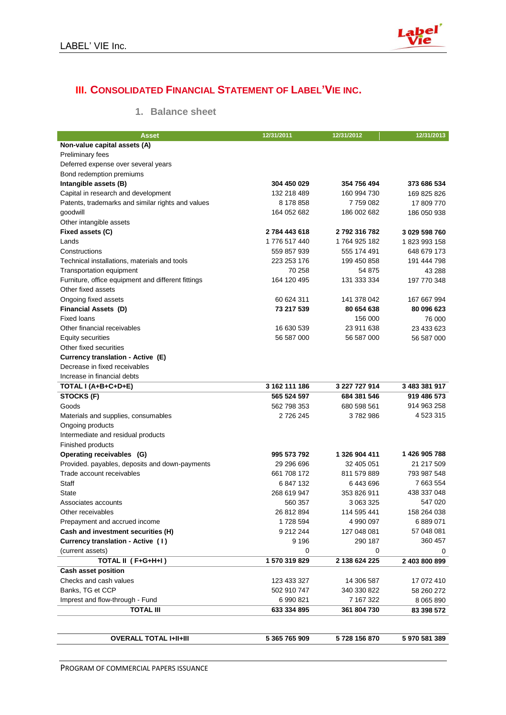![](_page_8_Picture_1.jpeg)

# **III. CONSOLIDATED FINANCIAL STATEMENT OF LABEL'VIE INC.**

# **1. Balance sheet**

| Asset                                                | 12/31/2011             | 12/31/2012               | 12/31/2013    |
|------------------------------------------------------|------------------------|--------------------------|---------------|
| Non-value capital assets (A)                         |                        |                          |               |
| <b>Preliminary fees</b>                              |                        |                          |               |
| Deferred expense over several years                  |                        |                          |               |
| Bond redemption premiums                             |                        |                          |               |
| Intangible assets (B)                                | 304 450 029            | 354 756 494              | 373 686 534   |
| Capital in research and development                  | 132 218 489            | 160 994 730              | 169 825 826   |
| Patents, trademarks and similar rights and values    | 8 178 858              | 7759082                  | 17 809 770    |
| goodwill                                             | 164 052 682            | 186 002 682              | 186 050 938   |
| Other intangible assets                              |                        |                          |               |
| Fixed assets (C)                                     | 2784 443 618           | 2792316782               | 3 029 598 760 |
| Lands                                                | 1776 517 440           | 1764 925 182             | 1823993158    |
| Constructions                                        | 559 857 939            | 555 174 491              | 648 679 173   |
| Technical installations, materials and tools         | 223 253 176            | 199 450 858              | 191 444 798   |
| <b>Transportation equipment</b>                      | 70 258                 | 54 875                   | 43 288        |
| Furniture, office equipment and different fittings   | 164 120 495            | 131 333 334              | 197 770 348   |
| Other fixed assets                                   |                        |                          |               |
| Ongoing fixed assets                                 | 60 624 311             | 141 378 042              | 167 667 994   |
| <b>Financial Assets (D)</b>                          | 73 217 539             | 80 654 638               | 80 096 623    |
| <b>Fixed loans</b>                                   |                        | 156 000                  | 76 000        |
| Other financial receivables                          | 16 630 539             | 23 911 638               | 23 433 623    |
| Equity securities                                    | 56 587 000             | 56 587 000               | 56 587 000    |
| Other fixed securities                               |                        |                          |               |
| Currency translation - Active (E)                    |                        |                          |               |
| Decrease in fixed receivables                        |                        |                          |               |
| Increase in financial debts                          |                        |                          |               |
| TOTAL I (A+B+C+D+E)                                  | 3 162 111 186          | 3 227 727 914            | 3 483 381 917 |
| STOCKS (F)                                           | 565 524 597            | 684 381 546              | 919 486 573   |
| Goods                                                | 562 798 353            | 680 598 561              | 914 963 258   |
| Materials and supplies, consumables                  | 2 726 245              | 3782986                  | 4 523 315     |
| Ongoing products                                     |                        |                          |               |
| Intermediate and residual products                   |                        |                          |               |
| Finished products                                    |                        |                          |               |
| Operating receivables (G)                            | 995 573 792            | 1 326 904 411            | 1426 905 788  |
| Provided. payables, deposits and down-payments       | 29 296 696             | 32 405 051               | 21 217 509    |
| Trade account receivables                            | 661 708 172            | 811 579 889              | 793 987 548   |
| Staff                                                | 6847132                | 6443696                  | 7 663 554     |
| State                                                | 268 619 947            | 353 826 911              | 438 337 048   |
| Associates accounts                                  | 560 357                | 3 063 325                | 547 020       |
| Other receivables                                    |                        |                          | 158 264 038   |
| Prepayment and accrued income                        | 26 812 894<br>1728 594 | 114 595 441<br>4 990 097 | 6 889 071     |
| Cash and investment securities (H)                   | 9 212 244              | 127 048 081              | 57 048 081    |
| Currency translation - Active (1)                    | 9 1 9 6                | 290 187                  | 360 457       |
| (current assets)                                     | 0                      | 0                        | 0             |
| TOTAL II (F+G+H+I)                                   | 1 570 319 829          | 2 138 624 225            | 2 403 800 899 |
|                                                      |                        |                          |               |
| <b>Cash asset position</b><br>Checks and cash values | 123 433 327            |                          |               |
|                                                      |                        | 14 306 587               | 17 072 410    |
| Banks, TG et CCP                                     | 502 910 747            | 340 330 822              | 58 260 272    |
| Imprest and flow-through - Fund                      | 6 990 821              | 7 167 322                | 8 0 6 5 8 9 0 |
| <b>TOTAL III</b>                                     | 633 334 895            | 361 804 730              | 83 398 572    |
|                                                      |                        |                          |               |
| <b>OVERALL TOTAL I+II+III</b>                        | 5 365 765 909          | 5728 156 870             |               |
|                                                      |                        |                          | 5970581389    |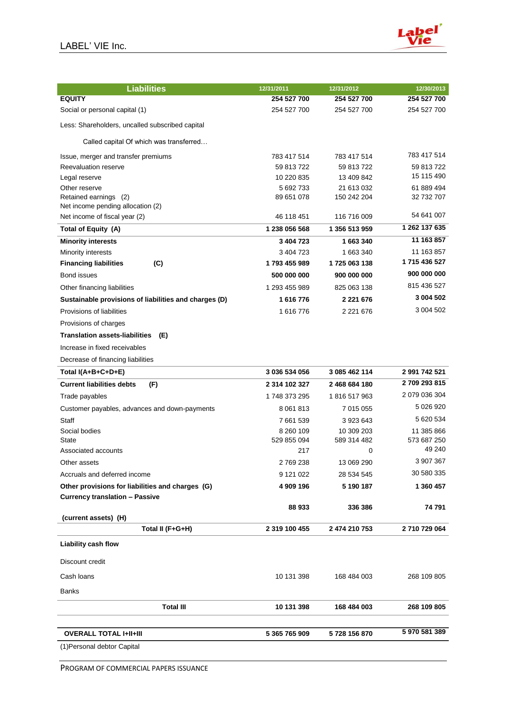![](_page_9_Picture_1.jpeg)

| <b>Liabilities</b>                                         | 12/31/2011    | 12/31/2012    | 12/30/2013    |
|------------------------------------------------------------|---------------|---------------|---------------|
| <b>EQUITY</b>                                              | 254 527 700   | 254 527 700   | 254 527 700   |
| Social or personal capital (1)                             | 254 527 700   | 254 527 700   | 254 527 700   |
| Less: Shareholders, uncalled subscribed capital            |               |               |               |
| Called capital Of which was transferred                    |               |               |               |
| Issue, merger and transfer premiums                        | 783 417 514   | 783 417 514   | 783 417 514   |
| Reevaluation reserve                                       | 59 813 722    | 59 813 722    | 59 813 722    |
| Legal reserve                                              | 10 220 835    | 13 409 842    | 15 115 490    |
| Other reserve                                              | 5 692 733     | 21 613 032    | 61 889 494    |
| Retained earnings (2)<br>Net income pending allocation (2) | 89 651 078    | 150 242 204   | 32 732 707    |
| Net income of fiscal year (2)                              | 46 118 451    | 116 716 009   | 54 641 007    |
| Total of Equity (A)                                        | 1 238 056 568 | 1 356 513 959 | 1 262 137 635 |
| <b>Minority interests</b>                                  | 3 404 723     | 1 663 340     | 11 163 857    |
| Minority interests                                         | 3 404 723     | 1 663 340     | 11 163 857    |
| <b>Financing liabilities</b><br>(C)                        | 1793 455 989  | 1725 063 138  | 1715 436 527  |
| Bond issues                                                | 500 000 000   | 900 000 000   | 900 000 000   |
| Other financing liabilities                                | 1 293 455 989 | 825 063 138   | 815 436 527   |
| Sustainable provisions of liabilities and charges (D)      | 1616776       | 2 2 2 1 6 7 6 | 3 004 502     |
| Provisions of liabilities                                  | 1616776       | 2 2 2 1 6 7 6 | 3 004 502     |
| Provisions of charges                                      |               |               |               |
| <b>Translation assets-liabilities</b><br>(E)               |               |               |               |
| Increase in fixed receivables                              |               |               |               |
| Decrease of financing liabilities                          |               |               |               |
| Total I(A+B+C+D+E)                                         | 3 036 534 056 | 3 085 462 114 | 2 991 742 521 |
| <b>Current liabilities debts</b><br>(F)                    | 2 314 102 327 | 2 468 684 180 | 2709 293 815  |
| Trade payables                                             | 1748 373 295  | 1816 517 963  | 2 079 036 304 |
| Customer payables, advances and down-payments              | 8 0 61 8 1 3  | 7 015 055     | 5 026 920     |
| <b>Staff</b>                                               | 7 661 539     | 3 923 643     | 5 620 534     |
| Social bodies                                              | 8 260 109     | 10 309 203    | 11 385 866    |
| State                                                      | 529 855 094   | 589 314 482   | 573 687 250   |
| Associated accounts                                        | 217           | 0             | 49 240        |
| Other assets                                               | 2769238       | 13 069 290    | 3 907 367     |
| Accruals and deferred income                               | 9 121 022     | 28 534 545    | 30 580 335    |
| Other provisions for liabilities and charges (G)           | 4 909 196     | 5 190 187     | 1 360 457     |
| <b>Currency translation - Passive</b>                      |               |               |               |
| (current assets) (H)                                       | 88 933        | 336 386       | 74 791        |
| Total II (F+G+H)                                           | 2 319 100 455 | 2 474 210 753 | 2710729064    |
| <b>Liability cash flow</b>                                 |               |               |               |
| Discount credit                                            |               |               |               |
| Cash loans                                                 | 10 131 398    | 168 484 003   | 268 109 805   |
| Banks                                                      |               |               |               |
| <b>Total III</b>                                           | 10 131 398    | 168 484 003   | 268 109 805   |
|                                                            |               |               | 5970581389    |
| <b>OVERALL TOTAL I+II+III</b>                              | 5 365 765 909 | 5728 156 870  |               |
| (1) Personal debtor Capital                                |               |               |               |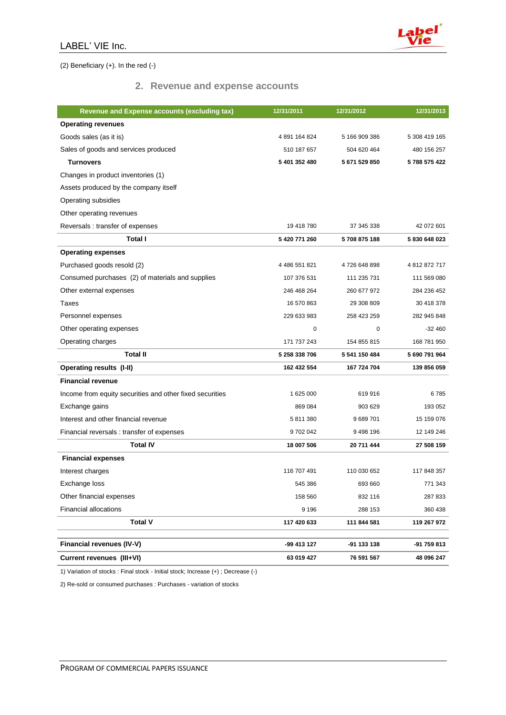![](_page_10_Picture_1.jpeg)

(2) Beneficiary (+). In the red (-)

#### **2. Revenue and expense accounts**

| <b>Revenue and Expense accounts (excluding tax)</b>      | 12/31/2011    | 12/31/2012    | 12/31/2013    |
|----------------------------------------------------------|---------------|---------------|---------------|
| <b>Operating revenues</b>                                |               |               |               |
| Goods sales (as it is)                                   | 4 891 164 824 | 5 166 909 386 | 5 308 419 165 |
| Sales of goods and services produced                     | 510 187 657   | 504 620 464   | 480 156 257   |
| <b>Turnovers</b>                                         | 5 401 352 480 | 5671529850    | 5788 575 422  |
| Changes in product inventories (1)                       |               |               |               |
| Assets produced by the company itself                    |               |               |               |
| Operating subsidies                                      |               |               |               |
| Other operating revenues                                 |               |               |               |
| Reversals : transfer of expenses                         | 19 418 780    | 37 345 338    | 42 072 601    |
| <b>Total I</b>                                           | 5 420 771 260 | 5708875188    | 5830648023    |
| <b>Operating expenses</b>                                |               |               |               |
| Purchased goods resold (2)                               | 4 486 551 821 | 4726 648 898  | 4812872717    |
| Consumed purchases (2) of materials and supplies         | 107 376 531   | 111 235 731   | 111 569 080   |
| Other external expenses                                  | 246 468 264   | 260 677 972   | 284 236 452   |
| Taxes                                                    | 16 570 863    | 29 308 809    | 30 418 378    |
| Personnel expenses                                       | 229 633 983   | 258 423 259   | 282 945 848   |
| Other operating expenses                                 | 0             | 0             | $-32460$      |
| Operating charges                                        | 171 737 243   | 154 855 815   | 168 781 950   |
| <b>Total II</b>                                          | 5 258 338 706 | 5 541 150 484 | 5 690 791 964 |
| <b>Operating results (I-II)</b>                          | 162 432 554   | 167 724 704   | 139 856 059   |
| <b>Financial revenue</b>                                 |               |               |               |
| Income from equity securities and other fixed securities | 1 625 000     | 619 916       | 6785          |
| Exchange gains                                           | 869 084       | 903 629       | 193 052       |
| Interest and other financial revenue                     | 5811380       | 9689701       | 15 159 076    |
| Financial reversals: transfer of expenses                | 9702042       | 9498196       | 12 149 246    |
| <b>Total IV</b>                                          | 18 007 506    | 20 711 444    | 27 508 159    |
| <b>Financial expenses</b>                                |               |               |               |
| Interest charges                                         | 116 707 491   | 110 030 652   | 117 848 357   |
| Exchange loss                                            | 545 386       | 693 660       | 771 343       |
| Other financial expenses                                 | 158 560       | 832 116       | 287 833       |
| <b>Financial allocations</b>                             | 9 1 9 6       | 288 153       | 360 438       |
| <b>Total V</b>                                           | 117 420 633   | 111 844 581   | 119 267 972   |
|                                                          |               |               |               |
| Financial revenues (IV-V)                                | -99 413 127   | -91 133 138   | -91 759 813   |
| Current revenues (III+VI)                                | 63 019 427    | 76 591 567    | 48 096 247    |

1) Variation of stocks : Final stock - Initial stock; Increase (+) ; Decrease (-)

2) Re-sold or consumed purchases : Purchases - variation of stocks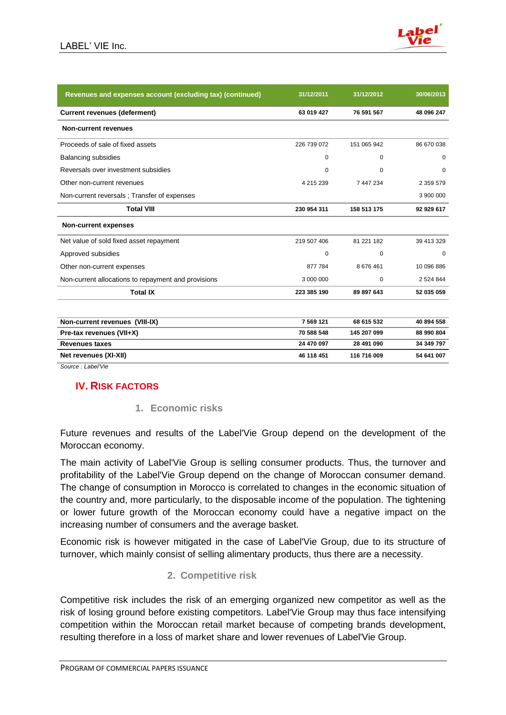![](_page_11_Picture_1.jpeg)

| Revenues and expenses account (excluding tax) (continued) | 31/12/2011  | 31/12/2012  | 30/06/2013    |
|-----------------------------------------------------------|-------------|-------------|---------------|
| <b>Current revenues (deferment)</b>                       | 63 019 427  | 76 591 567  | 48 096 247    |
| <b>Non-current revenues</b>                               |             |             |               |
| Proceeds of sale of fixed assets                          | 226 739 072 | 151 065 942 | 86 670 038    |
| <b>Balancing subsidies</b>                                | 0           | $\Omega$    | $\Omega$      |
| Reversals over investment subsidies                       | $\Omega$    | $\Omega$    | $\Omega$      |
| Other non-current revenues                                | 4 215 239   | 7 447 234   | 2 3 5 9 5 7 9 |
| Non-current reversals; Transfer of expenses               |             |             | 3 900 000     |
| <b>Total VIII</b>                                         | 230 954 311 | 158 513 175 | 92 929 617    |
| <b>Non-current expenses</b>                               |             |             |               |
| Net value of sold fixed asset repayment                   | 219 507 406 | 81 221 182  | 39 413 329    |
| Approved subsidies                                        | $\mathbf 0$ | $\Omega$    | $\Omega$      |
| Other non-current expenses                                | 877 784     | 8676461     | 10 096 886    |
| Non-current allocations to repayment and provisions       | 3 000 000   | $\Omega$    | 2 5 2 4 8 4 4 |
| <b>Total IX</b>                                           | 223 385 190 | 89 897 643  | 52 035 059    |
| Non-current revenues (VIII-IX)                            | 7 569 121   | 68 615 532  | 40 894 558    |
| Pre-tax revenues (VII+X)                                  | 70 588 548  | 145 207 099 | 88 990 804    |
| <b>Revenues taxes</b>                                     | 24 470 097  | 28 491 090  | 34 349 797    |
| Net revenues (XI-XII)                                     | 46 118 451  | 116 716 009 | 54 641 007    |
| Source : Label'Vie                                        |             |             |               |

# **IV. RISK FACTORS**

## **1. Economic risks**

Future revenues and results of the Label'Vie Group depend on the development of the Moroccan economy.

The main activity of Label'Vie Group is selling consumer products. Thus, the turnover and profitability of the Label'Vie Group depend on the change of Moroccan consumer demand. The change of consumption in Morocco is correlated to changes in the economic situation of the country and, more particularly, to the disposable income of the population. The tightening or lower future growth of the Moroccan economy could have a negative impact on the increasing number of consumers and the average basket.

Economic risk is however mitigated in the case of Label'Vie Group, due to its structure of turnover, which mainly consist of selling alimentary products, thus there are a necessity.

## **2. Competitive risk**

Competitive risk includes the risk of an emerging organized new competitor as well as the risk of losing ground before existing competitors. Label'Vie Group may thus face intensifying competition within the Moroccan retail market because of competing brands development, resulting therefore in a loss of market share and lower revenues of Label'Vie Group.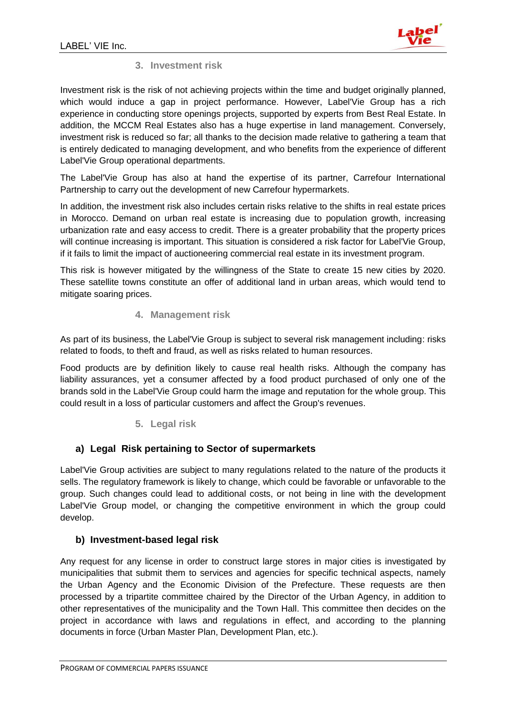![](_page_12_Picture_1.jpeg)

# **3. Investment risk**

Investment risk is the risk of not achieving projects within the time and budget originally planned, which would induce a gap in project performance. However, Label'Vie Group has a rich experience in conducting store openings projects, supported by experts from Best Real Estate. In addition, the MCCM Real Estates also has a huge expertise in land management. Conversely, investment risk is reduced so far; all thanks to the decision made relative to gathering a team that is entirely dedicated to managing development, and who benefits from the experience of different Label'Vie Group operational departments.

The Label'Vie Group has also at hand the expertise of its partner, Carrefour International Partnership to carry out the development of new Carrefour hypermarkets.

In addition, the investment risk also includes certain risks relative to the shifts in real estate prices in Morocco. Demand on urban real estate is increasing due to population growth, increasing urbanization rate and easy access to credit. There is a greater probability that the property prices will continue increasing is important. This situation is considered a risk factor for Label'Vie Group, if it fails to limit the impact of auctioneering commercial real estate in its investment program.

This risk is however mitigated by the willingness of the State to create 15 new cities by 2020. These satellite towns constitute an offer of additional land in urban areas, which would tend to mitigate soaring prices.

## **4. Management risk**

As part of its business, the Label'Vie Group is subject to several risk management including: risks related to foods, to theft and fraud, as well as risks related to human resources.

Food products are by definition likely to cause real health risks. Although the company has liability assurances, yet a consumer affected by a food product purchased of only one of the brands sold in the Label'Vie Group could harm the image and reputation for the whole group. This could result in a loss of particular customers and affect the Group's revenues.

## **5. Legal risk**

## **a) Legal Risk pertaining to Sector of supermarkets**

Label'Vie Group activities are subject to many regulations related to the nature of the products it sells. The regulatory framework is likely to change, which could be favorable or unfavorable to the group. Such changes could lead to additional costs, or not being in line with the development Label'Vie Group model, or changing the competitive environment in which the group could develop.

## **b) Investment-based legal risk**

Any request for any license in order to construct large stores in major cities is investigated by municipalities that submit them to services and agencies for specific technical aspects, namely the Urban Agency and the Economic Division of the Prefecture. These requests are then processed by a tripartite committee chaired by the Director of the Urban Agency, in addition to other representatives of the municipality and the Town Hall. This committee then decides on the project in accordance with laws and regulations in effect, and according to the planning documents in force (Urban Master Plan, Development Plan, etc.).